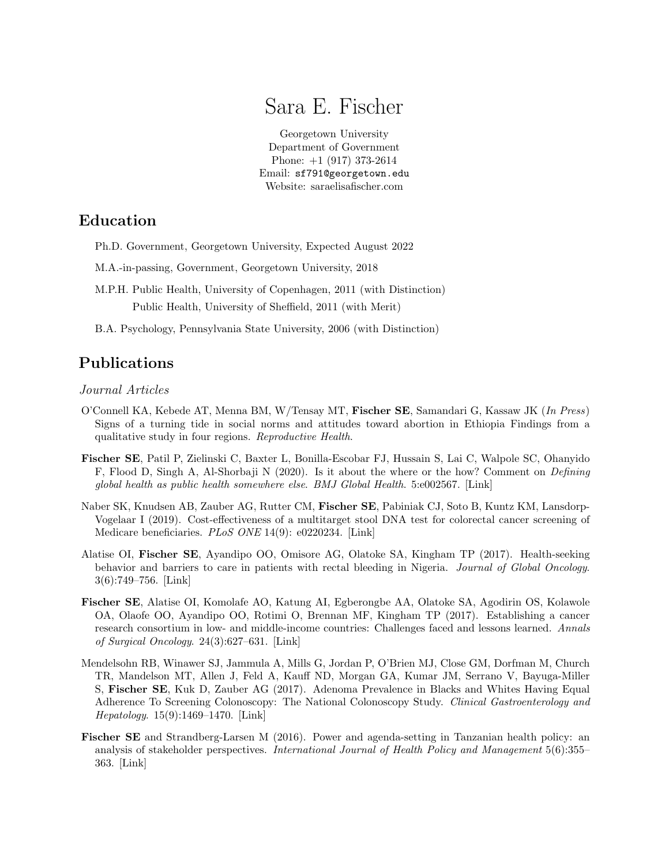# Sara E. Fischer

[Georgetown University](http://www.georgetown.edu/) [Department of Government](https://government.georgetown.edu/) Phone: +1 (917) 373-2614 Email: [sf791@georgetown.edu](mailto:sf791@georgetown.edu) [Website: saraelisafischer.com](https://saraelisafischer.com)

# Education

- Ph.D. Government, Georgetown University, Expected August 2022
- M.A.-in-passing, Government, Georgetown University, 2018
- M.P.H. Public Health, University of Copenhagen, 2011 (with Distinction) Public Health, University of Sheffield, 2011 (with Merit)
- B.A. Psychology, Pennsylvania State University, 2006 (with Distinction)

# Publications

Journal Articles

- O'Connell KA, Kebede AT, Menna BM, W/Tensay MT, Fischer SE, Samandari G, Kassaw JK (In Press) Signs of a turning tide in social norms and attitudes toward abortion in Ethiopia Findings from a qualitative study in four regions. Reproductive Health.
- Fischer SE, Patil P, Zielinski C, Baxter L, Bonilla-Escobar FJ, Hussain S, Lai C, Walpole SC, Ohanyido F, Flood D, Singh A, Al-Shorbaji N (2020). Is it about the where or the how? Comment on Defining global health as public health somewhere else. BMJ Global Health. 5:e002567. [\[Link\]](https://gh.bmj.com/content/5/5/e002567)
- Naber SK, Knudsen AB, Zauber AG, Rutter CM, Fischer SE, Pabiniak CJ, Soto B, Kuntz KM, Lansdorp-Vogelaar I (2019). Cost-effectiveness of a multitarget stool DNA test for colorectal cancer screening of Medicare beneficiaries. PLoS ONE 14(9): e0220234. [\[Link\]](https://journals.plos.org/plosone/article?id=10.1371/journal.pone.0220234)
- Alatise OI, Fischer SE, Ayandipo OO, Omisore AG, Olatoke SA, Kingham TP (2017). Health-seeking behavior and barriers to care in patients with rectal bleeding in Nigeria. Journal of Global Oncology. 3(6):749–756. [\[Link\]](https://www.ncbi.nlm.nih.gov/pmc/articles/PMC5735965/)
- Fischer SE, Alatise OI, Komolafe AO, Katung AI, Egberongbe AA, Olatoke SA, Agodirin OS, Kolawole OA, Olaofe OO, Ayandipo OO, Rotimi O, Brennan MF, Kingham TP (2017). Establishing a cancer research consortium in low- and middle-income countries: Challenges faced and lessons learned. Annals of Surgical Oncology. 24(3):627–631. [\[Link\]](https://www.ncbi.nlm.nih.gov/pmc/articles/PMC5364494/)
- Mendelsohn RB, Winawer SJ, Jammula A, Mills G, Jordan P, O'Brien MJ, Close GM, Dorfman M, Church TR, Mandelson MT, Allen J, Feld A, Kauff ND, Morgan GA, Kumar JM, Serrano V, Bayuga-Miller S, Fischer SE, Kuk D, Zauber AG (2017). Adenoma Prevalence in Blacks and Whites Having Equal Adherence To Screening Colonoscopy: The National Colonoscopy Study. Clinical Gastroenterology and Hepatology. 15(9):1469–1470. [\[Link\]](https://www.cghjournal.org/article/S1542-3565(17)30457-3/fulltext)
- Fischer SE and Strandberg-Larsen M (2016). Power and agenda-setting in Tanzanian health policy: an analysis of stakeholder perspectives. International Journal of Health Policy and Management 5(6):355– 363. [\[Link\]](https://www.ijhpm.com/article_3157_af35f8fd0e8b79c65f1f0627f030343a.pdf)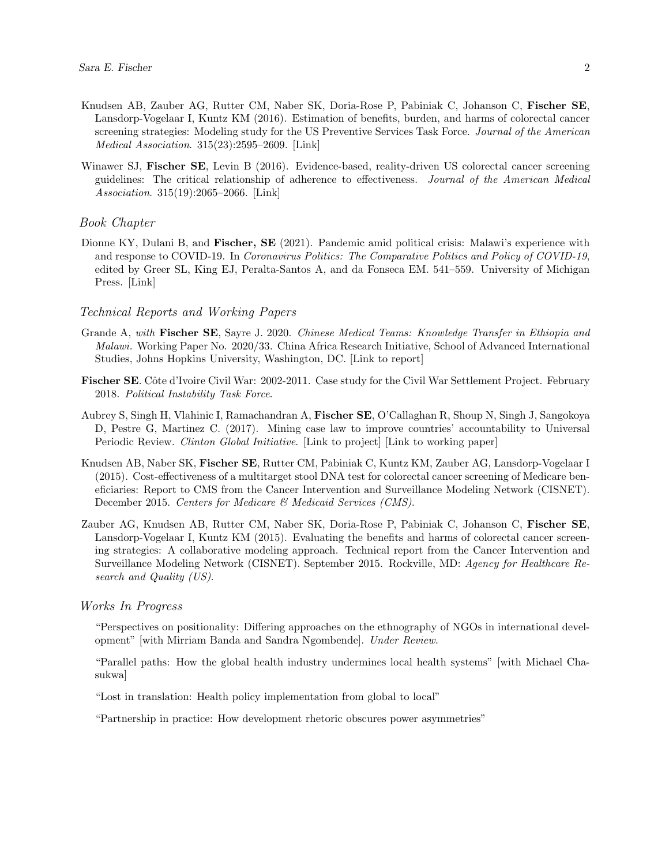- Knudsen AB, Zauber AG, Rutter CM, Naber SK, Doria-Rose P, Pabiniak C, Johanson C, Fischer SE, Lansdorp-Vogelaar I, Kuntz KM (2016). Estimation of benefits, burden, and harms of colorectal cancer screening strategies: Modeling study for the US Preventive Services Task Force. Journal of the American Medical Association. 315(23):2595–2609. [\[Link\]](https://jamanetwork.com/journals/jama/fullarticle/2529493)
- Winawer SJ, Fischer SE, Levin B (2016). Evidence-based, reality-driven US colorectal cancer screening guidelines: The critical relationship of adherence to effectiveness. Journal of the American Medical Association. 315(19):2065–2066. [\[Link\]](https://pubmed.ncbi.nlm.nih.gov/27187294/)

#### Book Chapter

Dionne KY, Dulani B, and **Fischer, SE** (2021). Pandemic amid political crisis: Malawi's experience with and response to COVID-19. In Coronavirus Politics: The Comparative Politics and Policy of COVID-19, edited by Greer SL, King EJ, Peralta-Santos A, and da Fonseca EM. 541–559. University of Michigan Press. [\[Link\]](https://www.press.umich.edu/11927713/coronavirus_politics)

#### Technical Reports and Working Papers

- Grande A, with **Fischer SE**, Sayre J. 2020. Chinese Medical Teams: Knowledge Transfer in Ethiopia and Malawi. Working Paper No. 2020/33. China Africa Research Initiative, School of Advanced International Studies, Johns Hopkins University, Washington, DC. [\[Link to report\]](https://static1.squarespace.com/static/5652847de4b033f56d2bdc29/t/5e7142af4aa9943cca400d53/1584480944785/WP+33+-+Grande+w+Fischer+and+Sayre+-+CMT+Ethiopia+Malawi.pdf)
- Fischer SE. Côte d'Ivoire Civil War: 2002-2011. Case study for the Civil War Settlement Project. February 2018. Political Instability Task Force.
- Aubrey S, Singh H, Vlahinic I, Ramachandran A, Fischer SE, O'Callaghan R, Shoup N, Singh J, Sangokoya D, Pestre G, Martinez C. (2017). Mining case law to improve countries' accountability to Universal Periodic Review. Clinton Global Initiative. [\[Link to project\]](https://www.clintonfoundation.org/clinton-global-initiative/commitments/upr-accountability-initiative-access-justice-gw) [\[Link to working paper\]](http://datapopalliance.org/item/mining-case-law-to-improve-countries-accountability-to-universal-periodic-review/)
- Knudsen AB, Naber SK, Fischer SE, Rutter CM, Pabiniak C, Kuntz KM, Zauber AG, Lansdorp-Vogelaar I (2015). Cost-effectiveness of a multitarget stool DNA test for colorectal cancer screening of Medicare beneficiaries: Report to CMS from the Cancer Intervention and Surveillance Modeling Network (CISNET). December 2015. Centers for Medicare & Medicaid Services (CMS).
- Zauber AG, Knudsen AB, Rutter CM, Naber SK, Doria-Rose P, Pabiniak C, Johanson C, Fischer SE, Lansdorp-Vogelaar I, Kuntz KM (2015). Evaluating the benefits and harms of colorectal cancer screening strategies: A collaborative modeling approach. Technical report from the Cancer Intervention and Surveillance Modeling Network (CISNET). September 2015. Rockville, MD: Agency for Healthcare Research and Quality (US).

#### Works In Progress

"Perspectives on positionality: Differing approaches on the ethnography of NGOs in international development" [with Mirriam Banda and Sandra Ngombende]. Under Review.

"Parallel paths: How the global health industry undermines local health systems" [with Michael Chasukwa]

"Lost in translation: Health policy implementation from global to local"

"Partnership in practice: How development rhetoric obscures power asymmetries"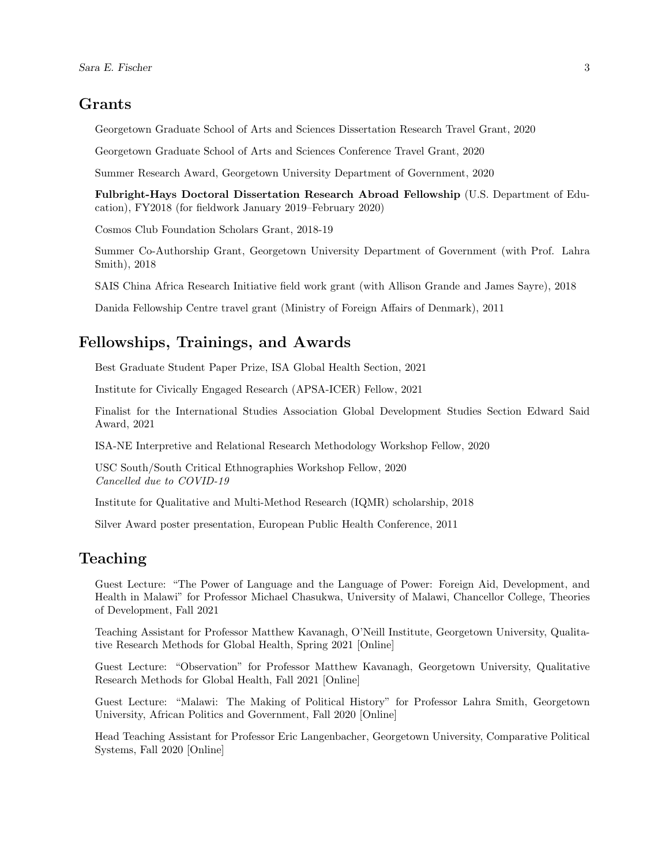### Grants

Georgetown Graduate School of Arts and Sciences Dissertation Research Travel Grant, 2020

Georgetown Graduate School of Arts and Sciences Conference Travel Grant, 2020

Summer Research Award, Georgetown University Department of Government, 2020

Fulbright-Hays Doctoral Dissertation Research Abroad Fellowship (U.S. Department of Education), FY2018 (for fieldwork January 2019–February 2020)

Cosmos Club Foundation Scholars Grant, 2018-19

Summer Co-Authorship Grant, Georgetown University Department of Government (with Prof. Lahra Smith), 2018

SAIS China Africa Research Initiative field work grant (with Allison Grande and James Sayre), 2018

Danida Fellowship Centre travel grant (Ministry of Foreign Affairs of Denmark), 2011

#### Fellowships, Trainings, and Awards

Best Graduate Student Paper Prize, ISA Global Health Section, 2021

Institute for Civically Engaged Research (APSA-ICER) Fellow, 2021

Finalist for the International Studies Association Global Development Studies Section Edward Said Award, 2021

ISA-NE Interpretive and Relational Research Methodology Workshop Fellow, 2020

USC South/South Critical Ethnographies Workshop Fellow, 2020 Cancelled due to COVID-19

Institute for Qualitative and Multi-Method Research (IQMR) scholarship, 2018

Silver Award poster presentation, European Public Health Conference, 2011

### Teaching

Guest Lecture: "The Power of Language and the Language of Power: Foreign Aid, Development, and Health in Malawi" for Professor Michael Chasukwa, University of Malawi, Chancellor College, Theories of Development, Fall 2021

Teaching Assistant for Professor Matthew Kavanagh, O'Neill Institute, Georgetown University, Qualitative Research Methods for Global Health, Spring 2021 [Online]

Guest Lecture: "Observation" for Professor Matthew Kavanagh, Georgetown University, Qualitative Research Methods for Global Health, Fall 2021 [Online]

Guest Lecture: "Malawi: The Making of Political History" for Professor Lahra Smith, Georgetown University, African Politics and Government, Fall 2020 [Online]

Head Teaching Assistant for Professor Eric Langenbacher, Georgetown University, Comparative Political Systems, Fall 2020 [Online]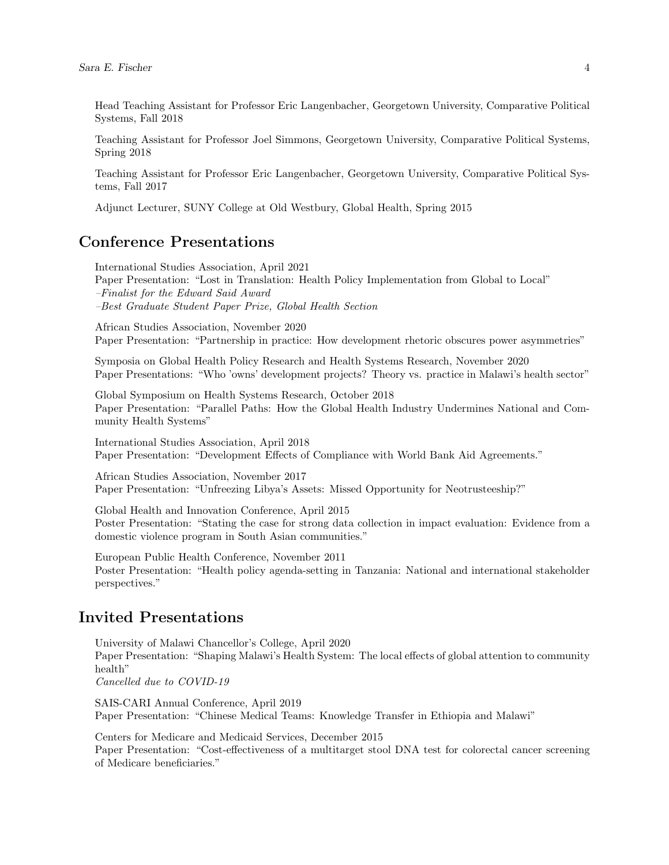Head Teaching Assistant for Professor Eric Langenbacher, Georgetown University, Comparative Political Systems, Fall 2018

Teaching Assistant for Professor Joel Simmons, Georgetown University, Comparative Political Systems, Spring 2018

Teaching Assistant for Professor Eric Langenbacher, Georgetown University, Comparative Political Systems, Fall 2017

Adjunct Lecturer, SUNY College at Old Westbury, Global Health, Spring 2015

# Conference Presentations

International Studies Association, April 2021 Paper Presentation: "Lost in Translation: Health Policy Implementation from Global to Local" –Finalist for the Edward Said Award –Best Graduate Student Paper Prize, Global Health Section

African Studies Association, November 2020 Paper Presentation: "Partnership in practice: How development rhetoric obscures power asymmetries"

Symposia on Global Health Policy Research and Health Systems Research, November 2020 Paper Presentations: "Who 'owns' development projects? Theory vs. practice in Malawi's health sector"

Global Symposium on Health Systems Research, October 2018 Paper Presentation: "Parallel Paths: How the Global Health Industry Undermines National and Community Health Systems"

International Studies Association, April 2018 Paper Presentation: "Development Effects of Compliance with World Bank Aid Agreements."

African Studies Association, November 2017 Paper Presentation: "Unfreezing Libya's Assets: Missed Opportunity for Neotrusteeship?"

Global Health and Innovation Conference, April 2015 Poster Presentation: "Stating the case for strong data collection in impact evaluation: Evidence from a domestic violence program in South Asian communities."

European Public Health Conference, November 2011 Poster Presentation: "Health policy agenda-setting in Tanzania: National and international stakeholder perspectives."

# Invited Presentations

University of Malawi Chancellor's College, April 2020 Paper Presentation: "Shaping Malawi's Health System: The local effects of global attention to community health" Cancelled due to COVID-19

SAIS-CARI Annual Conference, April 2019 Paper Presentation: "Chinese Medical Teams: Knowledge Transfer in Ethiopia and Malawi"

Centers for Medicare and Medicaid Services, December 2015 Paper Presentation: "Cost-effectiveness of a multitarget stool DNA test for colorectal cancer screening of Medicare beneficiaries."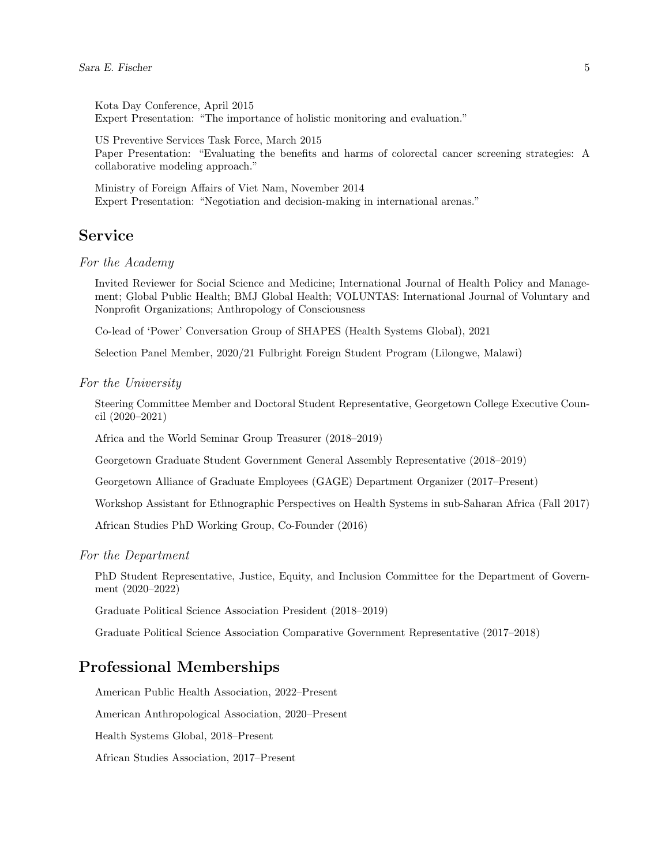Kota Day Conference, April 2015 Expert Presentation: "The importance of holistic monitoring and evaluation."

US Preventive Services Task Force, March 2015 Paper Presentation: "Evaluating the benefits and harms of colorectal cancer screening strategies: A collaborative modeling approach."

Ministry of Foreign Affairs of Viet Nam, November 2014 Expert Presentation: "Negotiation and decision-making in international arenas."

### Service

For the Academy

Invited Reviewer for Social Science and Medicine; International Journal of Health Policy and Management; Global Public Health; BMJ Global Health; VOLUNTAS: International Journal of Voluntary and Nonprofit Organizations; Anthropology of Consciousness

Co-lead of 'Power' Conversation Group of SHAPES (Health Systems Global), 2021

Selection Panel Member, 2020/21 Fulbright Foreign Student Program (Lilongwe, Malawi)

#### For the University

Steering Committee Member and Doctoral Student Representative, Georgetown College Executive Council (2020–2021)

Africa and the World Seminar Group Treasurer (2018–2019)

Georgetown Graduate Student Government General Assembly Representative (2018–2019)

Georgetown Alliance of Graduate Employees (GAGE) Department Organizer (2017–Present)

Workshop Assistant for Ethnographic Perspectives on Health Systems in sub-Saharan Africa (Fall 2017)

African Studies PhD Working Group, Co-Founder (2016)

For the Department

PhD Student Representative, Justice, Equity, and Inclusion Committee for the Department of Government (2020–2022)

Graduate Political Science Association President (2018–2019)

Graduate Political Science Association Comparative Government Representative (2017–2018)

## Professional Memberships

American Public Health Association, 2022–Present

American Anthropological Association, 2020–Present

Health Systems Global, 2018–Present

African Studies Association, 2017–Present